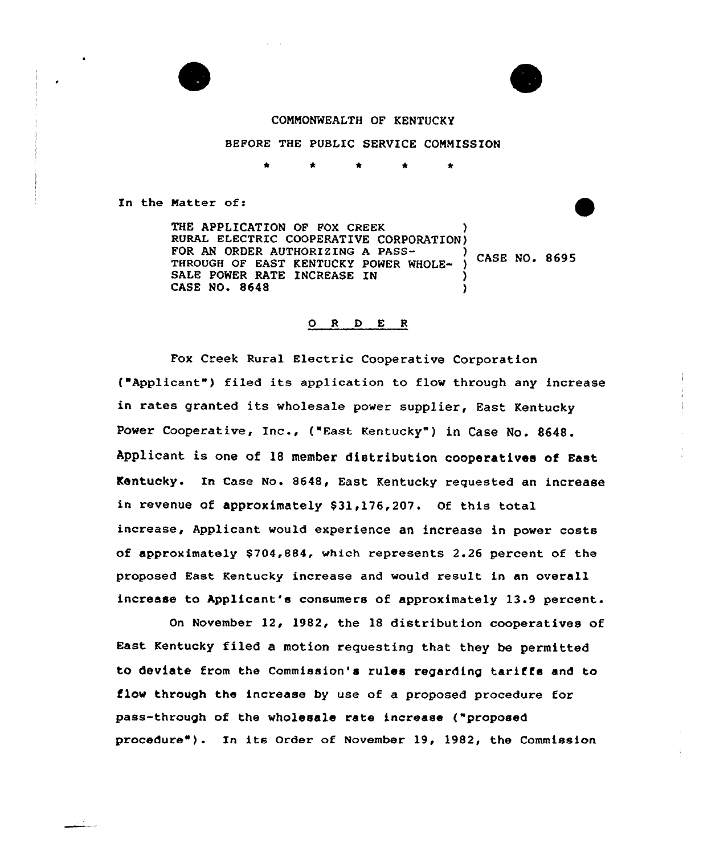



## COMNONNEALTH OF KENTUCKY

### BEFORE THE PUBLIC SERVICE COMMISSION

In the Natter of:

THE APPLICATION OF FOX CREEK RURAL ELECTRIC COOPERATIVE CORPORATION)<br>FOR AN ORDER AUTHORIZING A PASS-FOR AN ORDER AUTHORIZING A PASS-<br>THROUGH OF EAST KENTUCKY POWER WHOLE- ) CASE NO. 8695 SALE POWER RATE INCREASE IN CASE NO. 8648

### 0 <sup>R</sup> <sup>D</sup> E <sup>R</sup>

Fox Creek Rural Electric Cooperative Corporation ("Applicant") filed its application to flow through any increase in rates granted its wholesale power supplier, East Kentucky Power Cooperative, Inc., ("East Kentucky" ) in Case No. 8648. Applicant is one of 18 member distribution cooperatives of East Kentucky. In Case No. 8648, East Kentucky requested an increase in revenue of approximately \$31,176,207. Of this total increase, Applicant would experience an increase in power costs of approximately \$ 704,884, which represents 2.26 percent of the proposed East Kentucky increase and would result in an overall increase to Applicant's consumers of approximately 13.9 percent.

On November 12, 1982, the 18 distribution cooperatives of East Kentucky filed a motion requesting that they be permitted to deviate from the Commission's rules regarding tariffs and to flow through the increase by use of a proposed procedure for pass-through of the wholesale rate increase ("proposed procedure"). In its Order of November 19, 1982, the Commission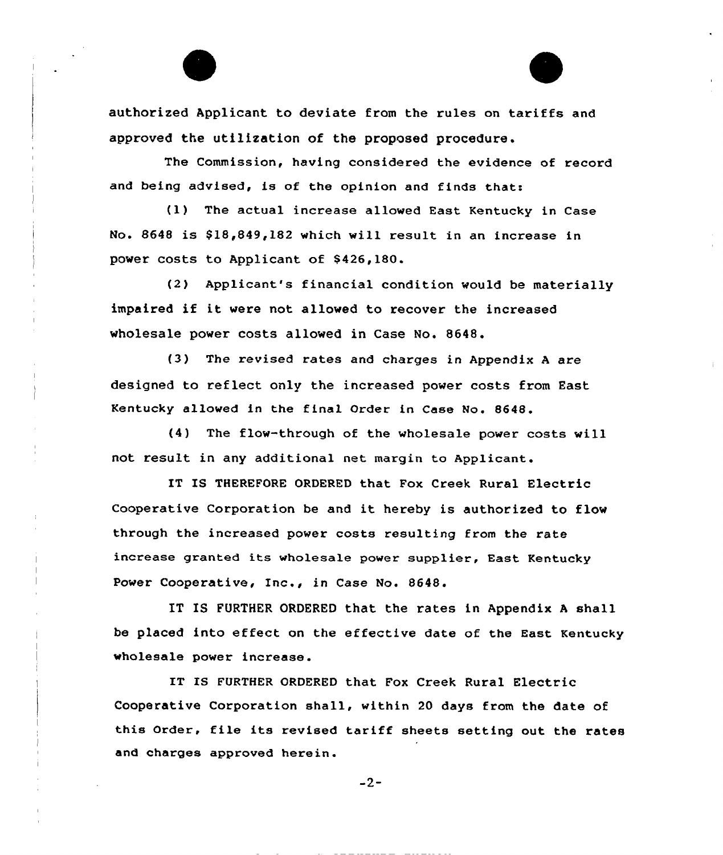authorized Applicant to deviate from the rules on tariffs and approved the utilization of the proposed procedure.

The Commission, having considered the evidence of record and being advised, is of the opinion and finds thats

(1) The actual increase allowed East Kentucky in Case No. 8648 is \$18,849,182 which will result in an increase in power costs to Applicant of \$426,180.

(2) Applicant's financial condition would be materially impaired if it were not allowed to recover the increased wholesale power costs allowed in Case No. 8648.

(3) The revised rates and charges in Appendix <sup>A</sup> are designed to reflect only the increased power costs from East Kentucky allowed in the final Order in Case No. 8648.

(4) The flow-through of the wholesale power costs will not result in any additional net margin to Applicant.

IT IS THEREFORE ORDERED that Fox Creek Rural Electric Cooperative Corporation be and it hereby is authorized to flow through the increased power costs resulting from the rate increase granted its wholesale power supplier, East Kentucky Power Cooperative, Inc., in Case No. 8648.

IT IS FURTHER ORDERED that the rates in Appendix <sup>A</sup> shell be placed into effect on the effective date of the East Kentucky wholesale power increase.

IT IS FURTHER ORDERED that Fox Creek Rural Electric Cooperative Corporation shall, within 20 days from the date of this Order, file its revised tariff sheets setting out the rates and charges approved herein.

 $-2-$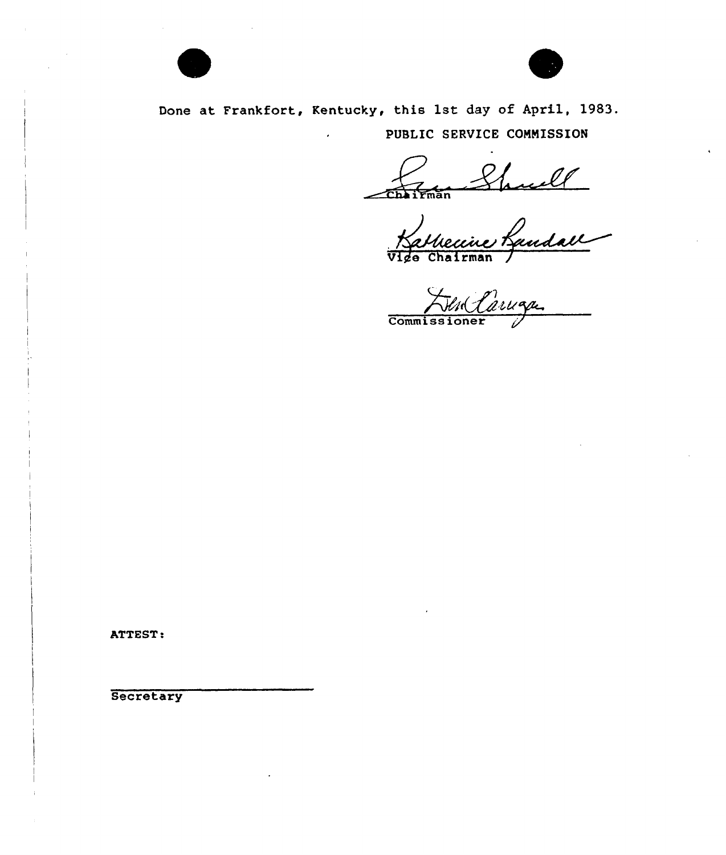



Done at Frankfort, Kentucky, this 1st day of April, 1983. PUBLIC SERVICE CONNISSION

 $\epsilon$  $\epsilon$ man i $\epsilon$ man

Vige Chairman /

Commissioner 1

ATTEST.

**Secretary**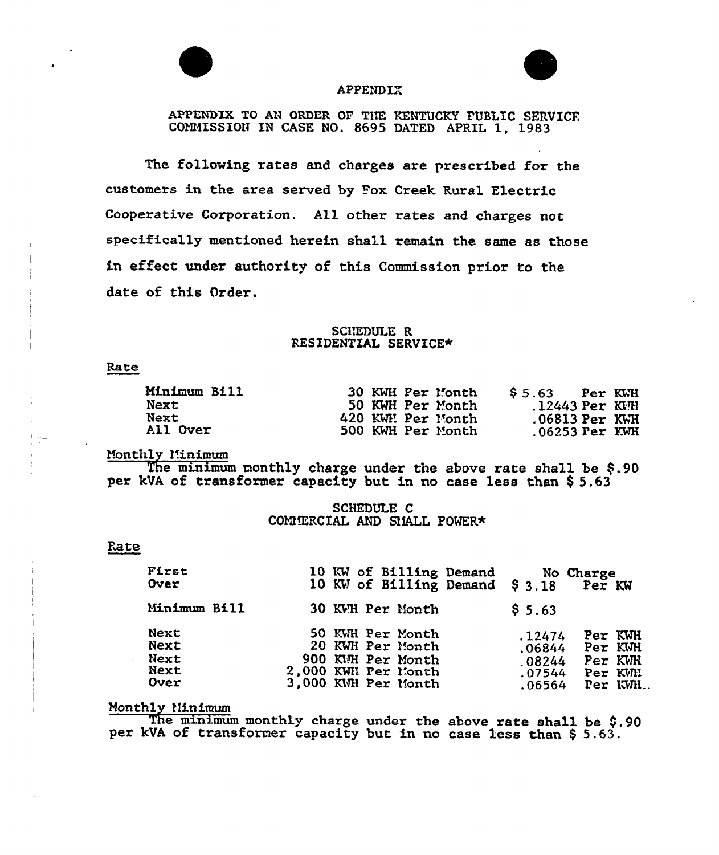



### APPENDIX

APPENDIX TO AN ORDER OF THE KENTUCKY PUBLIC SERVICE. GOHNISSION IN CASE NO. 8695 DATED APRIL 1, 1983

The following rates and chaxges axe prescribed for the customers in the area served by Pox Creek Rural Electric Cooperative Corporation. All other rates and charges not specifically mentioned herein sha11 remain the same as those in effect under authority of this Commission prior to the date of this Order.

### SCHEDULE R RESIDENTIAL SERVICE\*

#### Rate

| Minimum Bill | 30 KWH Per Month  | $$5.63$ Per KWH      |
|--------------|-------------------|----------------------|
| <b>Next</b>  | 50 KWH Per Month  | $.12443$ Per KVH     |
| <b>Next</b>  | 420 KWH Per Month | $.06813$ Per $KWH$   |
| All Over     | 500 KWH Per Month | $.06253$ $Per$ $KWH$ |

Monthly *l'inimum* 

The minimum monthly charge under the above rate shall be  $$.90$ per kVA of transformer capacity but in no case less than \$5.63

> SCHEDULE C COMMERCIAL AND SMALL POWER\*

#### Rate

| First<br>Over                        | 10 KW of Billing Demand<br>10 KW of Billing Demand \$3.18                                               | No Charge<br>Per KW                                                                                    |
|--------------------------------------|---------------------------------------------------------------------------------------------------------|--------------------------------------------------------------------------------------------------------|
| Minimum Bill                         | 30 KWH Per Month                                                                                        | \$5.63                                                                                                 |
| Next<br>Next<br>Next<br>Next<br>Over | 50 KWH Per Month<br>20 KWH Per Month<br>900 KUH Per Month<br>2,000 KWN Per Month<br>3,000 KWH Per Month | Per KWH<br>.12474<br>Per KWH<br>.06844<br>Per KWH<br>.08244<br>Per KWH<br>.07544<br>Per KWH.<br>.06564 |

### Monthly ?Iinimum

The minimum monthly charge under the above rate shall be \$.90 per kVA of transformer capacity but in no case less than \$ 5.63.